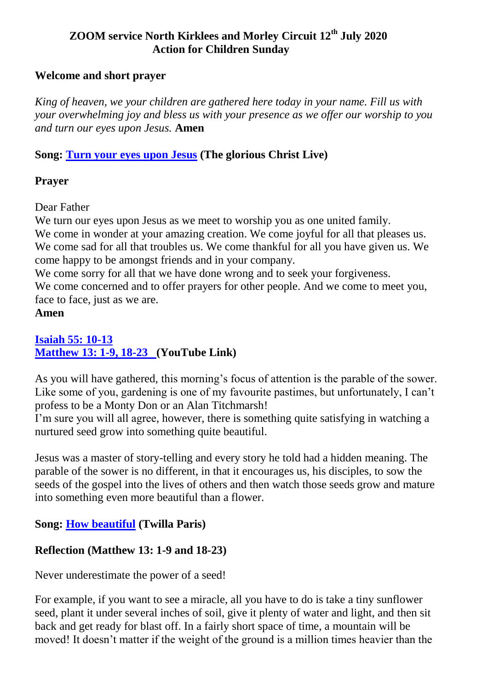### **ZOOM service North Kirklees and Morley Circuit 12th July 2020 Action for Children Sunday**

### **Welcome and short prayer**

*King of heaven, we your children are gathered here today in your name. Fill us with your overwhelming joy and bless us with your presence as we offer our worship to you and turn our eyes upon Jesus.* **Amen**

## **Song: [Turn your eyes upon Jesus](https://www.youtube.com/watch?v=F2tKVqZZiI4) (The glorious Christ Live)**

## **Prayer**

Dear Father

We turn our eyes upon Jesus as we meet to worship you as one united family. We come in wonder at your amazing creation. We come joyful for all that pleases us. We come sad for all that troubles us. We come thankful for all you have given us. We come happy to be amongst friends and in your company.

We come sorry for all that we have done wrong and to seek your forgiveness. We come concerned and to offer prayers for other people. And we come to meet you, face to face, just as we are.

### **Amen**

### **[Isaiah 55: 10-13](https://www.biblegateway.com/passage/?search=Isaiah+55%3A+10-13++++++++++++++++&version=NIV)  [Matthew 13: 1-9, 18-23 \(](https://www.youtube.com/watch?v=Tb7bvF5Ucrk)YouTube Link)**

As you will have gathered, this morning's focus of attention is the parable of the sower. Like some of you, gardening is one of my favourite pastimes, but unfortunately, I can't profess to be a Monty Don or an Alan Titchmarsh!

I'm sure you will all agree, however, there is something quite satisfying in watching a nurtured seed grow into something quite beautiful.

Jesus was a master of story-telling and every story he told had a hidden meaning. The parable of the sower is no different, in that it encourages us, his disciples, to sow the seeds of the gospel into the lives of others and then watch those seeds grow and mature into something even more beautiful than a flower.

# **Song: [How beautiful](https://www.youtube.com/watch?v=jVu5VZsCNOI) (Twilla Paris)**

# **Reflection (Matthew 13: 1-9 and 18-23)**

Never underestimate the power of a seed!

For example, if you want to see a miracle, all you have to do is take a tiny sunflower seed, plant it under several inches of soil, give it plenty of water and light, and then sit back and get ready for blast off. In a fairly short space of time, a mountain will be moved! It doesn't matter if the weight of the ground is a million times heavier than the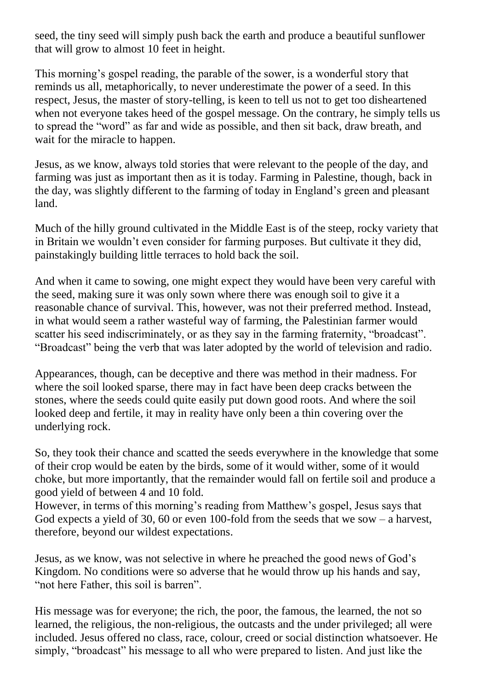seed, the tiny seed will simply push back the earth and produce a beautiful sunflower that will grow to almost 10 feet in height.

This morning's gospel reading, the parable of the sower, is a wonderful story that reminds us all, metaphorically, to never underestimate the power of a seed. In this respect, Jesus, the master of story-telling, is keen to tell us not to get too disheartened when not everyone takes heed of the gospel message. On the contrary, he simply tells us to spread the "word" as far and wide as possible, and then sit back, draw breath, and wait for the miracle to happen.

Jesus, as we know, always told stories that were relevant to the people of the day, and farming was just as important then as it is today. Farming in Palestine, though, back in the day, was slightly different to the farming of today in England's green and pleasant land.

Much of the hilly ground cultivated in the Middle East is of the steep, rocky variety that in Britain we wouldn't even consider for farming purposes. But cultivate it they did, painstakingly building little terraces to hold back the soil.

And when it came to sowing, one might expect they would have been very careful with the seed, making sure it was only sown where there was enough soil to give it a reasonable chance of survival. This, however, was not their preferred method. Instead, in what would seem a rather wasteful way of farming, the Palestinian farmer would scatter his seed indiscriminately, or as they say in the farming fraternity, "broadcast". "Broadcast" being the verb that was later adopted by the world of television and radio.

Appearances, though, can be deceptive and there was method in their madness. For where the soil looked sparse, there may in fact have been deep cracks between the stones, where the seeds could quite easily put down good roots. And where the soil looked deep and fertile, it may in reality have only been a thin covering over the underlying rock.

So, they took their chance and scatted the seeds everywhere in the knowledge that some of their crop would be eaten by the birds, some of it would wither, some of it would choke, but more importantly, that the remainder would fall on fertile soil and produce a good yield of between 4 and 10 fold.

However, in terms of this morning's reading from Matthew's gospel, Jesus says that God expects a yield of 30, 60 or even 100-fold from the seeds that we sow – a harvest, therefore, beyond our wildest expectations.

Jesus, as we know, was not selective in where he preached the good news of God's Kingdom. No conditions were so adverse that he would throw up his hands and say, "not here Father, this soil is barren".

His message was for everyone; the rich, the poor, the famous, the learned, the not so learned, the religious, the non-religious, the outcasts and the under privileged; all were included. Jesus offered no class, race, colour, creed or social distinction whatsoever. He simply, "broadcast" his message to all who were prepared to listen. And just like the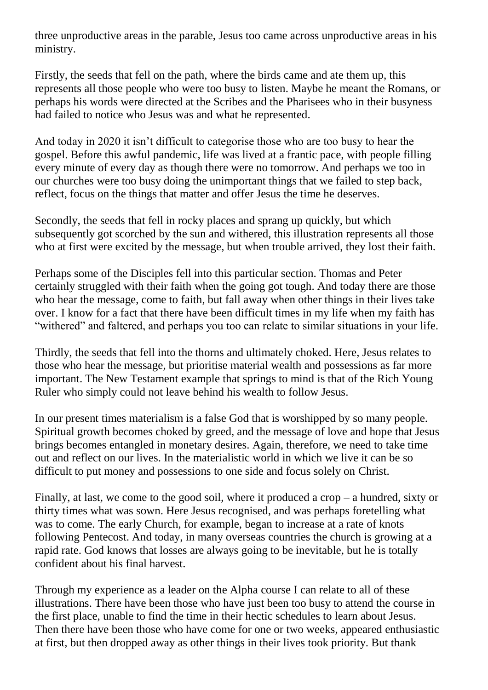three unproductive areas in the parable, Jesus too came across unproductive areas in his ministry.

Firstly, the seeds that fell on the path, where the birds came and ate them up, this represents all those people who were too busy to listen. Maybe he meant the Romans, or perhaps his words were directed at the Scribes and the Pharisees who in their busyness had failed to notice who Jesus was and what he represented.

And today in 2020 it isn't difficult to categorise those who are too busy to hear the gospel. Before this awful pandemic, life was lived at a frantic pace, with people filling every minute of every day as though there were no tomorrow. And perhaps we too in our churches were too busy doing the unimportant things that we failed to step back, reflect, focus on the things that matter and offer Jesus the time he deserves.

Secondly, the seeds that fell in rocky places and sprang up quickly, but which subsequently got scorched by the sun and withered, this illustration represents all those who at first were excited by the message, but when trouble arrived, they lost their faith.

Perhaps some of the Disciples fell into this particular section. Thomas and Peter certainly struggled with their faith when the going got tough. And today there are those who hear the message, come to faith, but fall away when other things in their lives take over. I know for a fact that there have been difficult times in my life when my faith has "withered" and faltered, and perhaps you too can relate to similar situations in your life.

Thirdly, the seeds that fell into the thorns and ultimately choked. Here, Jesus relates to those who hear the message, but prioritise material wealth and possessions as far more important. The New Testament example that springs to mind is that of the Rich Young Ruler who simply could not leave behind his wealth to follow Jesus.

In our present times materialism is a false God that is worshipped by so many people. Spiritual growth becomes choked by greed, and the message of love and hope that Jesus brings becomes entangled in monetary desires. Again, therefore, we need to take time out and reflect on our lives. In the materialistic world in which we live it can be so difficult to put money and possessions to one side and focus solely on Christ.

Finally, at last, we come to the good soil, where it produced a crop – a hundred, sixty or thirty times what was sown. Here Jesus recognised, and was perhaps foretelling what was to come. The early Church, for example, began to increase at a rate of knots following Pentecost. And today, in many overseas countries the church is growing at a rapid rate. God knows that losses are always going to be inevitable, but he is totally confident about his final harvest.

Through my experience as a leader on the Alpha course I can relate to all of these illustrations. There have been those who have just been too busy to attend the course in the first place, unable to find the time in their hectic schedules to learn about Jesus. Then there have been those who have come for one or two weeks, appeared enthusiastic at first, but then dropped away as other things in their lives took priority. But thank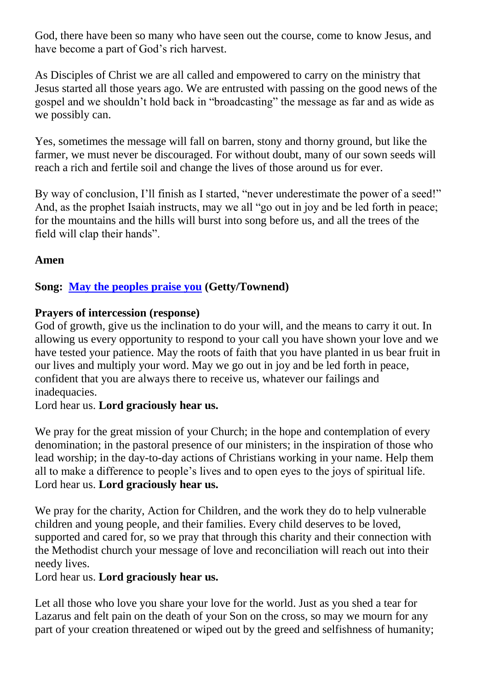God, there have been so many who have seen out the course, come to know Jesus, and have become a part of God's rich harvest.

As Disciples of Christ we are all called and empowered to carry on the ministry that Jesus started all those years ago. We are entrusted with passing on the good news of the gospel and we shouldn't hold back in "broadcasting" the message as far and as wide as we possibly can.

Yes, sometimes the message will fall on barren, stony and thorny ground, but like the farmer, we must never be discouraged. For without doubt, many of our sown seeds will reach a rich and fertile soil and change the lives of those around us for ever.

By way of conclusion, I'll finish as I started, "never underestimate the power of a seed!" And, as the prophet Isaiah instructs, may we all "go out in joy and be led forth in peace; for the mountains and the hills will burst into song before us, and all the trees of the field will clap their hands".

## **Amen**

## **Song: [May the peoples praise you](https://www.youtube.com/watch?v=7BrfkjHdKVI) (Getty/Townend)**

### **Prayers of intercession (response)**

God of growth, give us the inclination to do your will, and the means to carry it out. In allowing us every opportunity to respond to your call you have shown your love and we have tested your patience. May the roots of faith that you have planted in us bear fruit in our lives and multiply your word. May we go out in joy and be led forth in peace, confident that you are always there to receive us, whatever our failings and inadequacies.

Lord hear us. **Lord graciously hear us.**

We pray for the great mission of your Church; in the hope and contemplation of every denomination; in the pastoral presence of our ministers; in the inspiration of those who lead worship; in the day-to-day actions of Christians working in your name. Help them all to make a difference to people's lives and to open eyes to the joys of spiritual life. Lord hear us. **Lord graciously hear us.**

We pray for the charity, Action for Children, and the work they do to help vulnerable children and young people, and their families. Every child deserves to be loved, supported and cared for, so we pray that through this charity and their connection with the Methodist church your message of love and reconciliation will reach out into their needy lives.

Lord hear us. **Lord graciously hear us.**

Let all those who love you share your love for the world. Just as you shed a tear for Lazarus and felt pain on the death of your Son on the cross, so may we mourn for any part of your creation threatened or wiped out by the greed and selfishness of humanity;